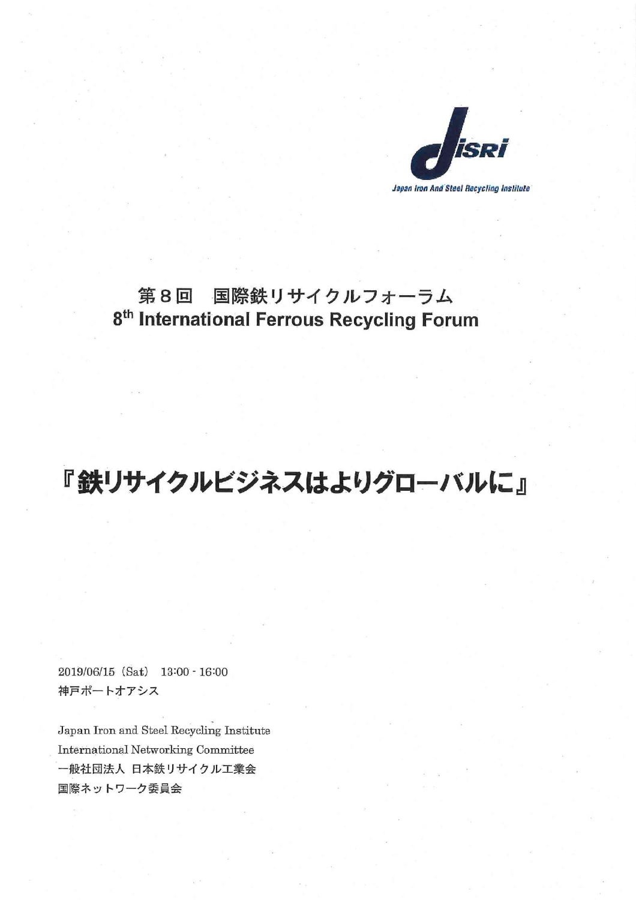

## 第8回 国際鉄リサイクルフォーラム 8<sup>th</sup> International Ferrous Recycling Forum

## 『鉄リサイクルビジネスはよりグローバルに』

2019/06/15 (Sat) 13:00 - 16:00 神戸ポートオアシス

Japan Iron and Steel Recycling Institute International Networking Committee 一般社団法人 日本鉄リサイクル工業会 国際ネットワーク委員会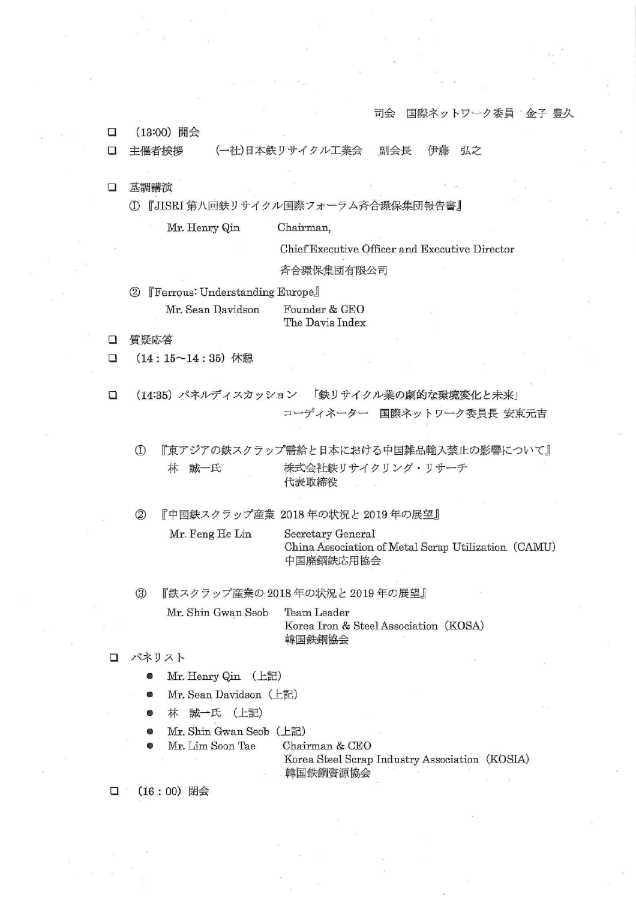司会 国際ネットワーク委員 金子 豊久

 $\Box$ (13:00) 開会

 $\Box$ 主催者挨拶 (一社)日本鉄リサイクル工業会 副会長 伊藤 弘之

- 口 基調講演
	- 1 『JISRI 第八回鉄リサイクル国際フォーラム斉合環保集団報告書』

Mr. Henry Qin Chairman,

Chief Executive Officer and Executive Director

斉合環保集団有限公司

**[Ferrous: Understanding Europe]**  $(2)$ Mr. Sean Davidson Founder & CEO

The Davis Index

- $\Box$ 質疑応答
- $\Box$  $(14:15~14:35)$  休憩
- (14:35) パネルディスカッション 「鉄リサイクル業の劇的な環境変化と未来」  $\Box$ コーディネーター 国際ネットワーク委員長 安東元吉

 $\mathcal{D}$ 『東アジアの鉄スクラップ需給と日本における中国雑品輸入禁止の影響について』 株式会社鉄リサイクリング・リサーチ 林 誠一氏 代表取締役

『中国鉄スクラップ産業 2018年の状況と 2019年の展望』  $(2)$ 

> Mr. Feng He Lin Secretary General China Association of Metal Scrap Utilization (CAMU) 中国廃鋼鉄応用協会

『鉄スクラップ産業の2018年の状況と2019年の展望』  $(3)$ 

> Mr. Shin Gwan Seob Team Leader Korea Iron & Steel Association (KOSA) 韓国鉄鋼協会

- ロ パネリスト
	- Mr. Henry Qin (上記)
	- Mr. Sean Davidson (上記)
	- 林 誠一氏 (上記)
	- Mr. Shin Gwan Seob (上記)
	- Mr. Lim Soon Tae

Chairman & CEO

Korea Steel Scrap Industry Association (KOSIA) 韓国鉄鋼資源協会

 $\Box$ (16:00) 閉会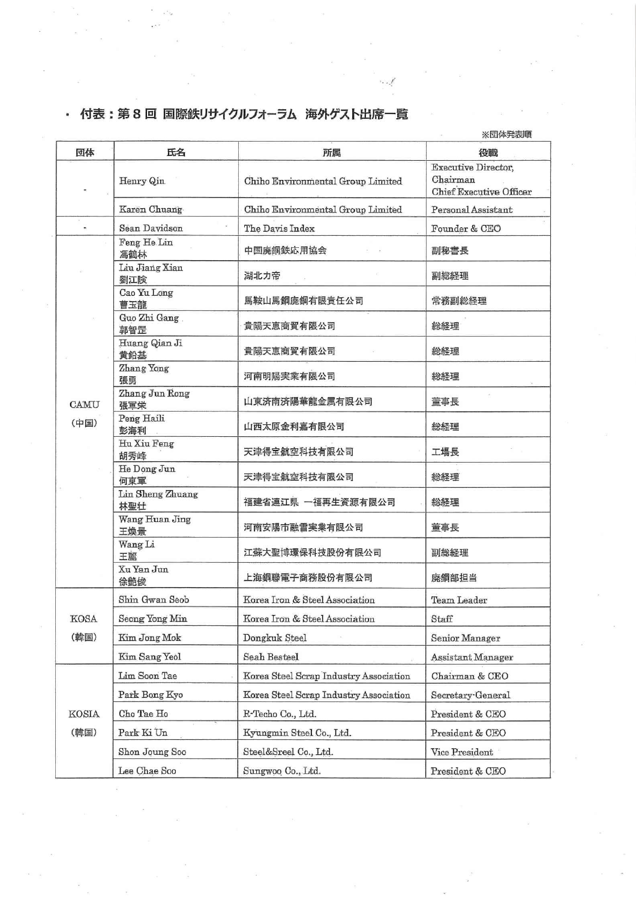## ・ 付表:第8回 国際鉄リサイクルフォーラム 海外ゲスト出席一覧

回体 氏名 所属 役職 **Executive Director**, Henry Qin Chiho Environmental Group Limited Chairman Chief Executive Officer Karen Chuang Chiho Environmental Group Limited Personal Assistant Ì. Sean Davidson The Davis Index Founder & CEO Feng He Lin 中国廃鋼鉄応用協会 副秘書長 馮鶴林 Liu Jiang Xian 湖北力帝 副総経理 劉江険 Cao Yu Long 馬鞍山馬鋼廃鋼有限責任公司 常務副総経理 曹玉龍 Guo Zhi Gang 総経理 貴陽天恵商貿有限公司 郭智罡 Huang Qian Ji 貴陽天恵商貿有限公司 総経理 黄鉛基 Zhang Yong 河南明陽実業有限公司 総経理 張勇 Zhang Jun Rong 山東済南済陽華龍金属有限公司 董事長  $CAMU$ 張軍栄 Peng Haili (中国) 山西太原金利嘉有限公司 総経理 彭海利 Hu Xiu Feng 天津得宝航空科技有限公司 工場長 胡秀峰 He Dong Jun 天津得宝航空科技有限公司 総経理 何東軍 Lin Sheng Zhuang 福建省連江県 一福再生資源有限公司 総経理 林聖壮 Wang Huan Jing 河南安陽市融雪実業有限公司 董事長 王煥景 Wang Li 江蘇大聖博環保科技股份有限公司 副総経理 王麗 Xu Yan Jun 上海鋼聯電子商務股份有限公司 廃鋼部担当 徐艶俊 Shin Gwan Seob Korea Iron & Steel Association Team Leader **KOSA** Seong Yong Min Korea Iron & Steel Association Staff (韓国) Kim Jong Mok Dongkuk Steel Senior Manager Kim Sang Yeol Seah Besteel Assistant Manager Lim Soon Tae Korea Steel Scrap Industry Association Chairman & CEO Park Bong Kyo Korea Steel Scrap Industry Association Secretary-General **KOSIA** Cho Tae Ho R-Techo Co., Ltd. President & CEO (韓国) Park Ki Un Kyungmin Steel Co., Ltd. President & CEO Steel&Sreel Co., Ltd. Shon Joung Soo Vice President Lee Chae Soo Sungwoo Co., Ltd. President & CEO

※団体発表順

. .  $^{\mathscr{E}}$